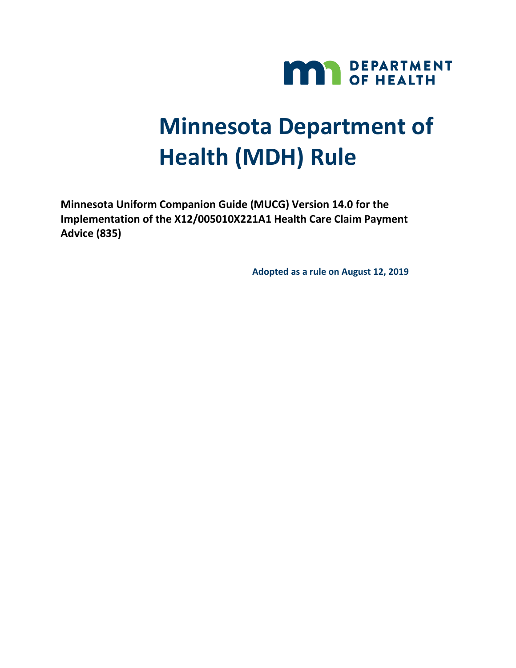

# **Minnesota Department of Health (MDH) Rule**

**Minnesota Uniform Companion Guide (MUCG) Version 14.0 for the Implementation of the X12/005010X221A1 Health Care Claim Payment Advice (835)**

**Adopted as a rule on August 12, 2019**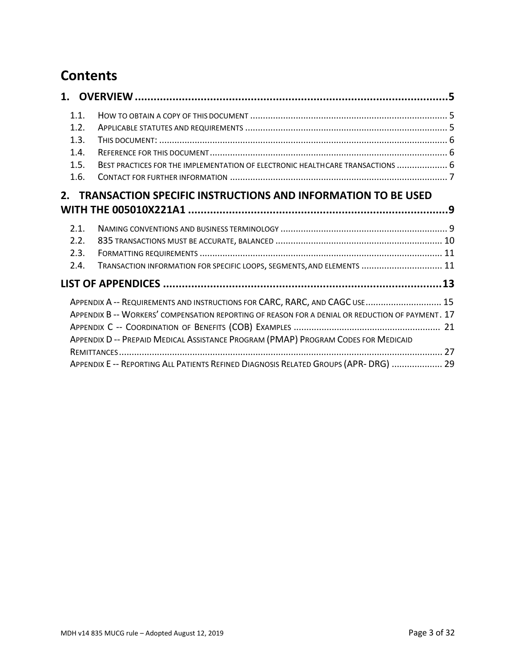# **Contents**

| 1.1.                                                                               |                                                                                     |                                                                                                  |  |  |  |  |
|------------------------------------------------------------------------------------|-------------------------------------------------------------------------------------|--------------------------------------------------------------------------------------------------|--|--|--|--|
| 1.2.                                                                               |                                                                                     |                                                                                                  |  |  |  |  |
| 1.3.                                                                               |                                                                                     |                                                                                                  |  |  |  |  |
| 1.4.                                                                               |                                                                                     |                                                                                                  |  |  |  |  |
|                                                                                    |                                                                                     |                                                                                                  |  |  |  |  |
| 1.5.                                                                               |                                                                                     | BEST PRACTICES FOR THE IMPLEMENTATION OF ELECTRONIC HEALTHCARE TRANSACTIONS  6                   |  |  |  |  |
| 1.6.                                                                               |                                                                                     |                                                                                                  |  |  |  |  |
|                                                                                    |                                                                                     | 2. TRANSACTION SPECIFIC INSTRUCTIONS AND INFORMATION TO BE USED                                  |  |  |  |  |
|                                                                                    |                                                                                     |                                                                                                  |  |  |  |  |
|                                                                                    |                                                                                     |                                                                                                  |  |  |  |  |
| 2.1.                                                                               |                                                                                     |                                                                                                  |  |  |  |  |
| 2.2.                                                                               |                                                                                     |                                                                                                  |  |  |  |  |
| 2.3.                                                                               |                                                                                     |                                                                                                  |  |  |  |  |
| 2.4.                                                                               |                                                                                     | TRANSACTION INFORMATION FOR SPECIFIC LOOPS, SEGMENTS, AND ELEMENTS  11                           |  |  |  |  |
|                                                                                    |                                                                                     |                                                                                                  |  |  |  |  |
|                                                                                    |                                                                                     |                                                                                                  |  |  |  |  |
|                                                                                    | APPENDIX A -- REQUIREMENTS AND INSTRUCTIONS FOR CARC, RARC, AND CAGC USE 15         |                                                                                                  |  |  |  |  |
|                                                                                    |                                                                                     | APPENDIX B -- WORKERS' COMPENSATION REPORTING OF REASON FOR A DENIAL OR REDUCTION OF PAYMENT. 17 |  |  |  |  |
|                                                                                    |                                                                                     |                                                                                                  |  |  |  |  |
| APPENDIX D -- PREPAID MEDICAL ASSISTANCE PROGRAM (PMAP) PROGRAM CODES FOR MEDICAID |                                                                                     |                                                                                                  |  |  |  |  |
|                                                                                    |                                                                                     |                                                                                                  |  |  |  |  |
|                                                                                    | APPENDIX E -- REPORTING ALL PATIENTS REFINED DIAGNOSIS RELATED GROUPS (APR-DRG)  29 |                                                                                                  |  |  |  |  |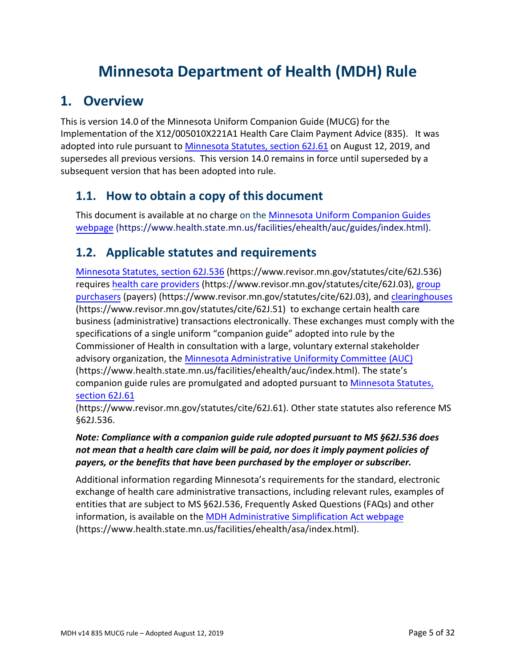# **Minnesota Department of Health (MDH) Rule**

# <span id="page-4-0"></span>**1. Overview**

This is version 14.0 of the Minnesota Uniform Companion Guide (MUCG) for the Implementation of the X12/005010X221A1 Health Care Claim Payment Advice (835). It was adopted into rule pursuant to [Minnesota Statutes, section 62J.61](https://www.revisor.mn.gov/statutes/cite/62J.61) on August 12, 2019, and supersedes all previous versions. This version 14.0 remains in force until superseded by a subsequent version that has been adopted into rule.

# <span id="page-4-1"></span>**1.1. How to obtain a copy of this document**

This document is available at no charge on the [Minnesota Uniform Companion Guides](https://www.health.state.mn.us/facilities/ehealth/auc/guides/index.html)  [webpage](https://www.health.state.mn.us/facilities/auc/guides/index.htm) (https://www.health.state.mn.us/facilities/ehealth/auc/guides/index.html).

# <span id="page-4-2"></span>**1.2. Applicable statutes and requirements**

[Minnesota Statutes, section 62J.536](https://www.revisor.mn.gov/statutes/cite/62J.536) (https://www.revisor.mn.gov/statutes/cite/62J.536) requires [health care providers](https://www.revisor.mn.gov/statutes/cite/62J.03) (https://www.revisor.mn.gov/statutes/cite/62J.03), [group](https://www.revisor.mn.gov/statutes/cite/62J.03) [purchasers](https://www.revisor.mn.gov/statutes/cite/62J.03) (payers) (https://www.revisor.mn.gov/statutes/cite/62J.03), and [clearinghouses](https://www.revisor.mn.gov/statutes/cite/62J.51) (https://www.revisor.mn.gov/statutes/cite/62J.51) to exchange certain health care business (administrative) transactions electronically. These exchanges must comply with the specifications of a single uniform "companion guide" adopted into rule by the Commissioner of Health in consultation with a large, voluntary external stakeholder advisory organization, the [Minnesota Administrative](https://www.health.state.mn.us/facilities/ehealth/auc/index.html) Uniformity Committee (AUC) (https://www.health.state.mn.us/facilities/ehealth/auc/index.html). The state's companion guide rules are promulgated and a[dopted pursuant to](https://www.revisor.mn.gov/statutes/cite/62J.61) Minnesota Statutes, section 62J.61

(https://www.revisor.mn.gov/statutes/cite/62J.61). Other state statutes also reference MS §62J.536.

#### *Note: Compliance with a companion guide rule adopted pursuant to MS §62J.536 does not mean that a health care claim will be paid, nor does it imply payment policies of payers, or the benefits that have been purchased by the employer or subscriber.*

<span id="page-4-3"></span>Additional information regarding Minnesota's requirements for the standard, electronic exchange of health care administrative transactions, including relevant rules, examples of entities that are subject to MS §62J.536, Frequently Asked Questions (FAQs) and other information, is available on the [MDH Administrative Simplification Act webpage](https://www.health.state.mn.us/facilities/ehealth/asa/index.html) (https://www.health.state.mn.us/facilities/ehealth/asa/index.html).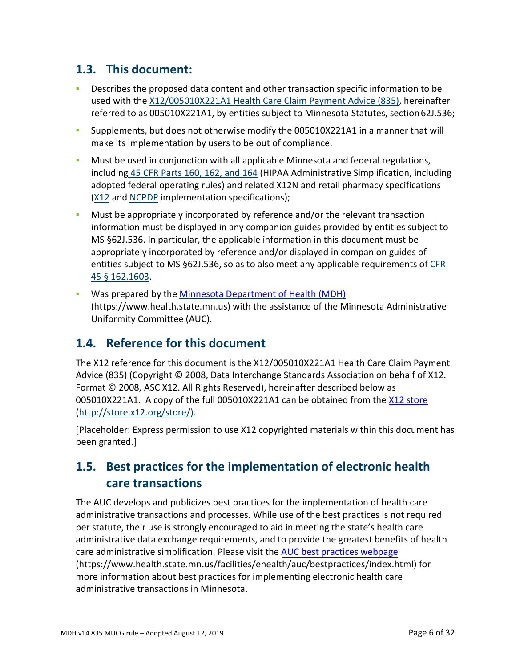# **1.3. This document:**

- **•** Describes the proposed data content and other transaction specific information to be used with the [X12/005010X221A1 Health Care Claim Payment Advice \(835\),](http://store.x12.org/store/healthcare-5010-consolidated-guides) hereinafter referred to as 005010X221A1, by entities subject to Minnesota Statutes, section62J.536;
- Supplements, but does not otherwise modify the 005010X221A1 in a manner that will make its implementation by users to be out of compliance.
- **Must be used in conjunction with all applicable Minnesota and federal regulations,** including 45 CFR Parts 160, 162, and 164 (HIPAA Administrative Simplification, including adopted federal operating rules) and related X12N and retail pharmacy specifications [\(X12](http://store.x12.org/store/healthcare-5010-consolidated-guides) and [NCPDP](https://www.ncpdp.org/Standards-Development/Standards-Information) implementation specifications);
- Must be appropriately incorporated by reference and/or the relevant transaction information must be displayed in any companion guides provided by entities subject to MS §62J.536. In particular, the applicable information in this document must be appropriately incorporated by reference and/or displayed in companion guides of entities subject to MS §62J.536, so as to also meet any applicable requirements of [CFR](https://gov.ecfr.io/cgi-bin/text-idx?SID=149a2a6bff8a75e52bd1851a43d3ab68&mc=true&node=pt45.1.162&rgn=div5&se45.1.162_11603) 45 § [162.1603.](https://gov.ecfr.io/cgi-bin/text-idx?SID=149a2a6bff8a75e52bd1851a43d3ab68&mc=true&node=pt45.1.162&rgn=div5&se45.1.162_11603)
- Was prepared by the [Minnesota Department of Health \(MDH\)](https://www.health.state.mn.us/) (https://www.health.state.mn.us) with the assistance of the Minnesota Administrative Uniformity Committee (AUC).

# <span id="page-5-0"></span>**1.4. Reference for this document**

The X12 reference for this document is the X12/005010X221A1 Health Care Claim Payment Advice (835) (Copyright © 2008, Data Interchange Standards Association on behalf of X12. Format © 2008, ASC X12. All Rights Reserved), hereinafter described below as 005010X221A1. A copy of the full 005010X221A1 can be obtained from the X12 [store](http://store.x12.org/store/)  (http://store.x12.org/store/).

[Placeholder: Express permission to use X12 copyrighted materials within this document has been granted.]

# <span id="page-5-1"></span>**1.5. Best practices for the implementation of electronic health care transactions**

The AUC develops and publicizes best practices for the implementation of health care administrative transactions and processes. While use of the best practices is not required per statute, their use is strongly encouraged to aid in meeting the state's health care administrative data exchange requirements, and to provide the greatest benefits of health care administrative simplification. Please visit the [AUC best practices webpage](https://www.health.state.mn.us/facilities/ehealth/auc/bestpractices/index.html) (https://www.health.state.mn.us/facilities/ehealth/auc/bestpractices/index.html) for more information about best practices for implementing electronic health care administrative transactions in Minnesota.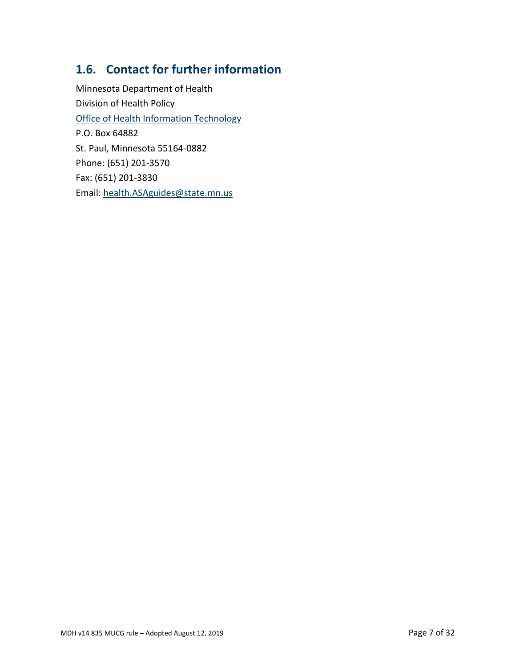# <span id="page-6-0"></span>**1.6. Contact for further information**

Minnesota Department of Health Division of Health Policy [Office of Health Information Technology](https://www.health.state.mn.us/facilities/ehealth/chipt/index.html) P.O. Box 64882 St. Paul, Minnesota 55164-0882 Phone: (651) 201-3570 Fax: (651) 201-3830 Email: health.ASAguides@state.mn.us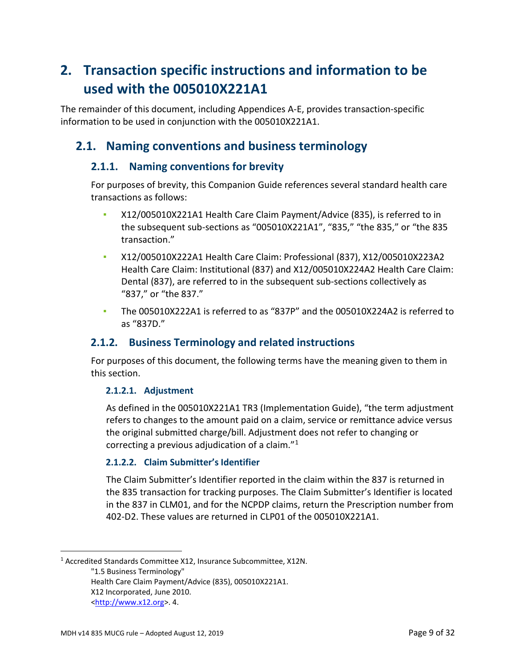# **2. Transaction specific instructions and information to be used with the 005010X221A1**

The remainder of this document, including Appendices A-E, provides transaction-specific information to be used in conjunction with the 005010X221A1.

# <span id="page-8-0"></span>**2.1. Naming conventions and business terminology**

# **2.1.1. Naming conventions for brevity**

For purposes of brevity, this Companion Guide references several standard health care transactions as follows:

- X12/005010X221A1 Health Care Claim Payment/Advice (835), is referred to in the subsequent sub-sections as "005010X221A1", "835," "the 835," or "the 835 transaction."
- X12/005010X222A1 Health Care Claim: Professional (837), X12/005010X223A2 Health Care Claim: Institutional (837) and X12/005010X224A2 Health Care Claim: Dental (837), are referred to in the subsequent sub-sections collectively as "837," or "the 837."
- The 005010X222A1 is referred to as "837P" and the 005010X224A2 is referred to as "837D."

# **2.1.2. Business Terminology and related instructions**

For purposes of this document, the following terms have the meaning given to them in this section.

### **2.1.2.1. Adjustment**

As defined in the 005010X221A1 TR3 (Implementation Guide), "the term adjustment refers to changes to the amount paid on a claim, service or remittance advice versus the original submitted charge/bill. Adjustment does not refer to changing or correcting a previous adjudication of a claim. $^{\prime\prime}$ <sup>[1](#page-8-1)</sup>

### **2.1.2.2. Claim Submitter's Identifier**

The Claim Submitter's Identifier reported in the claim within the 837 is returned in the 835 transaction for tracking purposes. The Claim Submitter's Identifier is located in the 837 in CLM01, and for the NCPDP claims, return the Prescription number from 402-D2. These values are returned in CLP01 of the 005010X221A1.

"1.5 Business Terminology" Health Care Claim Payment/Advice (835), 005010X221A1. X12 Incorporated, June 2010. [<http://www.x12.org>](http://www.x12.org/). 4.

 $\overline{a}$ 

<span id="page-8-1"></span><sup>1</sup> Accredited Standards Committee X12, Insurance Subcommittee, X12N.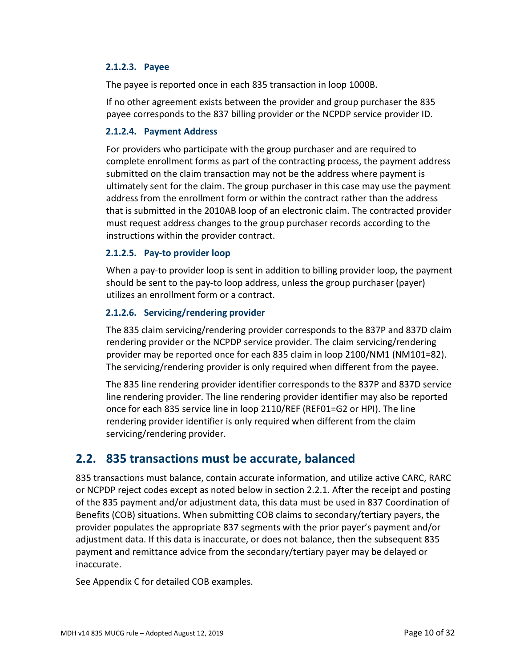#### **2.1.2.3. Payee**

The payee is reported once in each 835 transaction in loop 1000B.

If no other agreement exists between the provider and group purchaser the 835 payee corresponds to the 837 billing provider or the NCPDP service provider ID.

#### **2.1.2.4. Payment Address**

For providers who participate with the group purchaser and are required to complete enrollment forms as part of the contracting process, the payment address submitted on the claim transaction may not be the address where payment is ultimately sent for the claim. The group purchaser in this case may use the payment address from the enrollment form or within the contract rather than the address that is submitted in the 2010AB loop of an electronic claim. The contracted provider must request address changes to the group purchaser records according to the instructions within the provider contract.

#### **2.1.2.5. Pay-to provider loop**

When a pay-to provider loop is sent in addition to billing provider loop, the payment should be sent to the pay-to loop address, unless the group purchaser (payer) utilizes an enrollment form or a contract.

#### **2.1.2.6. Servicing/rendering provider**

The 835 claim servicing/rendering provider corresponds to the 837P and 837D claim rendering provider or the NCPDP service provider. The claim servicing/rendering provider may be reported once for each 835 claim in loop 2100/NM1 (NM101=82). The servicing/rendering provider is only required when different from the payee.

The 835 line rendering provider identifier corresponds to the 837P and 837D service line rendering provider. The line rendering provider identifier may also be reported once for each 835 service line in loop 2110/REF (REF01=G2 or HPI). The line rendering provider identifier is only required when different from the claim servicing/rendering provider.

# <span id="page-9-0"></span>**2.2. 835 transactions must be accurate, balanced**

835 transactions must balance, contain accurate information, and utilize active CARC, RARC or NCPDP reject codes except as noted below in section 2.2.1. After the receipt and posting of the 835 payment and/or adjustment data, this data must be used in 837 Coordination of Benefits (COB) situations. When submitting COB claims to secondary/tertiary payers, the provider populates the appropriate 837 segments with the prior payer's payment and/or adjustment data. If this data is inaccurate, or does not balance, then the subsequent 835 payment and remittance advice from the secondary/tertiary payer may be delayed or inaccurate.

See Appendix C for detailed COB examples.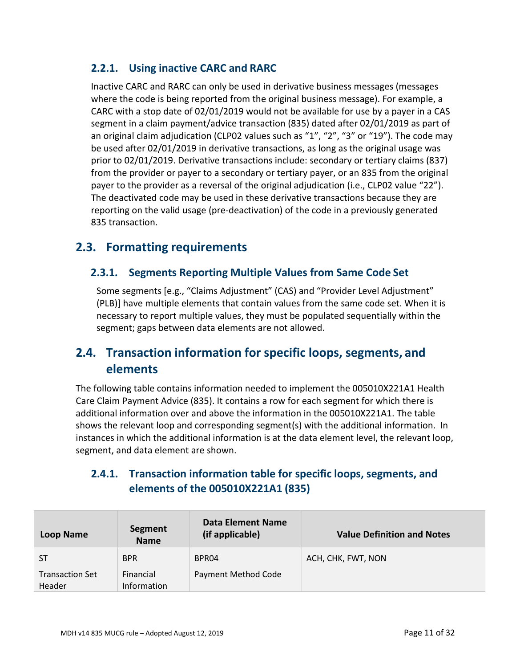# **2.2.1. Using inactive CARC and RARC**

Inactive CARC and RARC can only be used in derivative business messages (messages where the code is being reported from the original business message). For example, a CARC with a stop date of 02/01/2019 would not be available for use by a payer in a CAS segment in a claim payment/advice transaction (835) dated after 02/01/2019 as part of an original claim adjudication (CLP02 values such as "1", "2", "3" or "19"). The code may be used after 02/01/2019 in derivative transactions, as long as the original usage was prior to 02/01/2019. Derivative transactions include: secondary or tertiary claims (837) from the provider or payer to a secondary or tertiary payer, or an 835 from the original payer to the provider as a reversal of the original adjudication (i.e., CLP02 value "22"). The deactivated code may be used in these derivative transactions because they are reporting on the valid usage (pre-deactivation) of the code in a previously generated 835 transaction.

# <span id="page-10-0"></span>**2.3. Formatting requirements**

### **2.3.1. Segments Reporting Multiple Values from Same Code Set**

Some segments [e.g., "Claims Adjustment" (CAS) and "Provider Level Adjustment" (PLB)] have multiple elements that contain values from the same code set. When it is necessary to report multiple values, they must be populated sequentially within the segment; gaps between data elements are not allowed.

# <span id="page-10-1"></span>**2.4. Transaction information for specific loops, segments, and elements**

The following table contains information needed to implement the 005010X221A1 Health Care Claim Payment Advice (835). It contains a row for each segment for which there is additional information over and above the information in the 005010X221A1. The table shows the relevant loop and corresponding segment(s) with the additional information. In instances in which the additional information is at the data element level, the relevant loop, segment, and data element are shown.

# **2.4.1. Transaction information table for specific loops, segments, and elements of the 005010X221A1 (835)**

| Loop Name                        | Segment<br><b>Name</b>   | Data Element Name<br>(if applicable) | <b>Value Definition and Notes</b> |
|----------------------------------|--------------------------|--------------------------------------|-----------------------------------|
| <b>ST</b>                        | <b>BPR</b>               | BPR04                                | ACH, CHK, FWT, NON                |
| <b>Transaction Set</b><br>Header | Financial<br>Information | <b>Payment Method Code</b>           |                                   |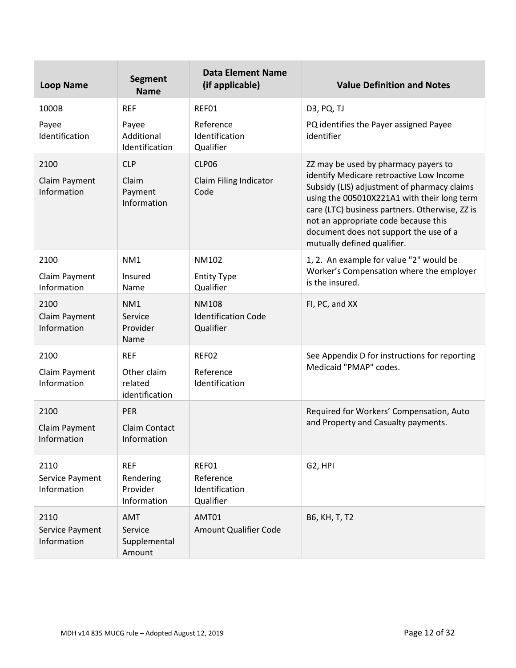| <b>Loop Name</b>                       | <b>Segment</b><br><b>Name</b>                          | <b>Data Element Name</b><br>(if applicable)             | <b>Value Definition and Notes</b>                                                                                                                                                                                                                                                                                                                 |
|----------------------------------------|--------------------------------------------------------|---------------------------------------------------------|---------------------------------------------------------------------------------------------------------------------------------------------------------------------------------------------------------------------------------------------------------------------------------------------------------------------------------------------------|
| 1000B                                  | <b>REF</b>                                             | REF01                                                   | D3, PQ, TJ                                                                                                                                                                                                                                                                                                                                        |
| Payee<br>Identification                | Payee<br>Additional<br>Identification                  | Reference<br>Identification<br>Qualifier                | PQ identifies the Payer assigned Payee<br>identifier                                                                                                                                                                                                                                                                                              |
| 2100<br>Claim Payment<br>Information   | <b>CLP</b><br>Claim<br>Payment<br>Information          | CLP06<br>Claim Filing Indicator<br>Code                 | ZZ may be used by pharmacy payers to<br>identify Medicare retroactive Low Income<br>Subsidy (LIS) adjustment of pharmacy claims<br>using the 005010X221A1 with their long term<br>care (LTC) business partners. Otherwise, ZZ is<br>not an appropriate code because this<br>document does not support the use of a<br>mutually defined qualifier. |
| 2100<br>Claim Payment<br>Information   | NM1<br>Insured<br>Name                                 | NM102<br><b>Entity Type</b><br>Qualifier                | 1, 2. An example for value "2" would be<br>Worker's Compensation where the employer<br>is the insured.                                                                                                                                                                                                                                            |
| 2100<br>Claim Payment<br>Information   | NM1<br>Service<br>Provider<br>Name                     | <b>NM108</b><br><b>Identification Code</b><br>Qualifier | FI, PC, and XX                                                                                                                                                                                                                                                                                                                                    |
| 2100<br>Claim Payment<br>Information   | <b>REF</b><br>Other claim<br>related<br>identification | REF02<br>Reference<br>Identification                    | See Appendix D for instructions for reporting<br>Medicaid "PMAP" codes.                                                                                                                                                                                                                                                                           |
| 2100<br>Claim Payment<br>Information   | <b>PER</b><br><b>Claim Contact</b><br>Information      |                                                         | Required for Workers' Compensation, Auto<br>and Property and Casualty payments.                                                                                                                                                                                                                                                                   |
| 2110<br>Service Payment<br>Information | <b>REF</b><br>Rendering<br>Provider<br>Information     | REF01<br>Reference<br>Identification<br>Qualifier       | G2, HPI                                                                                                                                                                                                                                                                                                                                           |
| 2110<br>Service Payment<br>Information | <b>AMT</b><br>Service<br>Supplemental<br>Amount        | AMT01<br>Amount Qualifier Code                          | B6, KH, T, T2                                                                                                                                                                                                                                                                                                                                     |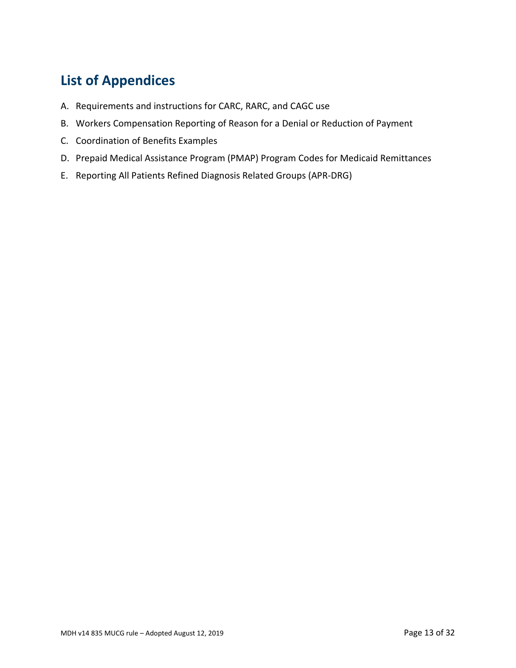# <span id="page-12-0"></span>**List of Appendices**

- A. Requirements and instructions for CARC, RARC, and CAGC use
- B. Workers Compensation Reporting of Reason for a Denial or Reduction of Payment
- C. Coordination of Benefits Examples
- D. Prepaid Medical Assistance Program (PMAP) Program Codes for Medicaid Remittances
- E. Reporting All Patients Refined Diagnosis Related Groups (APR-DRG)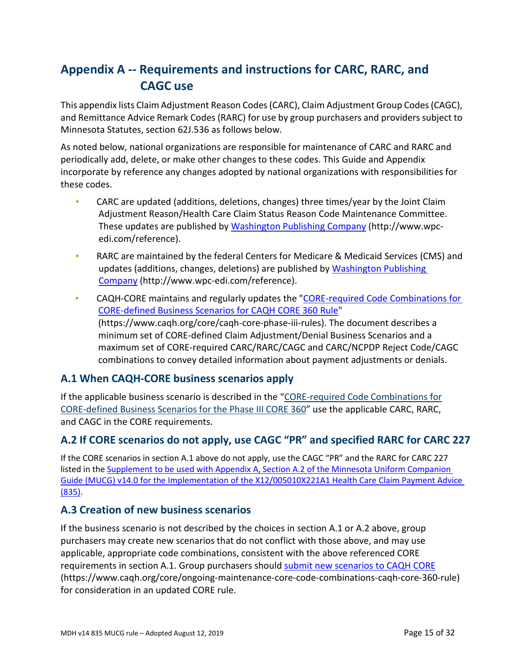# <span id="page-14-0"></span>**Appendix A -- Requirements and instructions for CARC, RARC, and CAGC use**

This appendix lists Claim Adjustment Reason Codes (CARC), Claim Adjustment Group Codes (CAGC), and Remittance Advice Remark Codes (RARC) for use by group purchasers and providers subject to Minnesota Statutes, section 62J.536 as follows below.

As noted below, national organizations are responsible for maintenance of CARC and RARC and periodically add, delete, or make other changes to these codes. This Guide and Appendix incorporate by reference any changes adopted by national organizations with responsibilities for these codes.

- **▪** CARC are updated (additions, deletions, changes) three times/year by the Joint Claim Adjustment Reason/Health Care Claim Status Reason Code Maintenance Committee. These updates are published by [Washington Publishing Company](http://www.wpc-edi.com/reference/) (http://www.wpcedi.com/reference).
- **▪** RARC are maintained by the federal Centers for Medicare & Medicaid Services (CMS) and updates (additions, changes, deletions) are published by Washington Publishing [Company](http://www.wpc-edi.com/reference/) (http://www.wpc-edi.com/reference).
- **▪** CAQH-CORE maintains and regularly updates the ["CORE-required Code Combinations for](https://www.caqh.org/core/caqh-core-phase-iii-rules) [CORE-defined Business Scenarios for CAQH CORE 360 Rule"](https://www.caqh.org/core/caqh-core-phase-iii-rules) (https://www.caqh.org/core/caqh-core-phase-iii-rules). The document describes a minimum set of CORE-defined Claim Adjustment/Denial Business Scenarios and a maximum set of CORE-required CARC/RARC/CAGC and CARC/NCPDP Reject Code/CAGC combinations to convey detailed information about payment adjustments or denials.

### **A.1 When CAQH-CORE business scenarios apply**

If the applicable business scenario is described in the ["CORE-required Code Combinations for](https://www.caqh.org/core/caqh-core-phase-iii-rules) [CORE-defined Business Scenarios for the Phase III CORE 360"](https://www.caqh.org/core/caqh-core-phase-iii-rules) use the applicable CARC, RARC, and CAGC in the CORE requirements.

# **A.2 If CORE scenarios do not apply, use CAGC "PR" and specified RARC for CARC 227**

If the CORE scenarios in section A.1 above do not apply, use the CAGC "PR" and the RARC for CARC 227 listed in the [Supplement to be used with Appendix A, Section A.2 of the Minnesota Uniform Companion](https://www.health.state.mn.us/facilities/ehealth/auc/guides/docs/a2supplement.pdf)  [Guide \(MUCG\) v14.0 for the Implementation of the X12/005010X221A1 Health Care Claim Payment Advice](https://www.health.state.mn.us/facilities/ehealth/auc/guides/docs/a2supplement.pdf)  [\(835\).](https://www.health.state.mn.us/facilities/ehealth/auc/guides/docs/a2supplement.pdf)

# **A.3 Creation of new business scenarios**

If the business scenario is not described by the choices in section A.1 or A.2 above, group purchasers may create new scenarios that do not conflict with those above, and may use applicable, appropriate code combinations, consistent with the above referenced CORE requirements in section A.1. Group purchasers should [submit new scenarios to CAQH CORE](https://www.caqh.org/core/ongoing-maintenance-core-code-combinations-caqh-core-360-rule) (https://www.caqh.org/core/ongoing-maintenance-core-code-combinations-caqh-core-360-rule) for consideration in an updated CORE rule.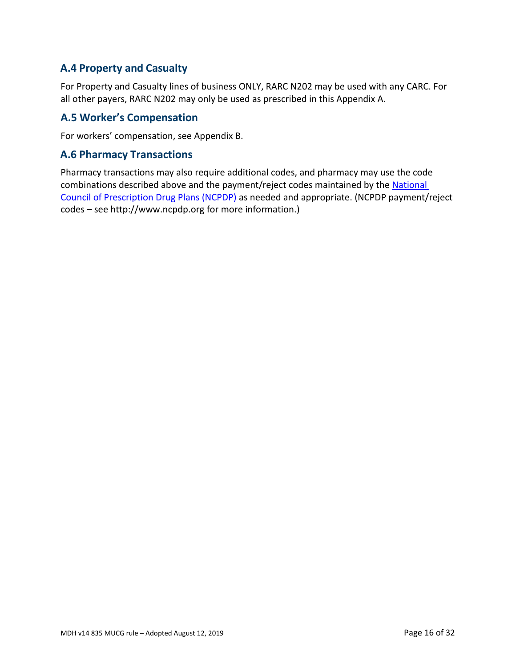## **A.4 Property and Casualty**

For Property and Casualty lines of business ONLY, RARC N202 may be used with any CARC. For all other payers, RARC N202 may only be used as prescribed in this Appendix A.

### **A.5 Worker's Compensation**

For workers' compensation, see Appendix B.

#### **A.6 Pharmacy Transactions**

Pharmacy transactions may also require additional codes, and pharmacy may use the code combinations described above and the payment/reject codes maintained by the National [Council of Prescription Drug Plans \(NCPDP\)](https://www.ncpdp.org/home) as needed and appropriate. (NCPDP payment/reject codes – see http://www.ncpdp.org for more information.)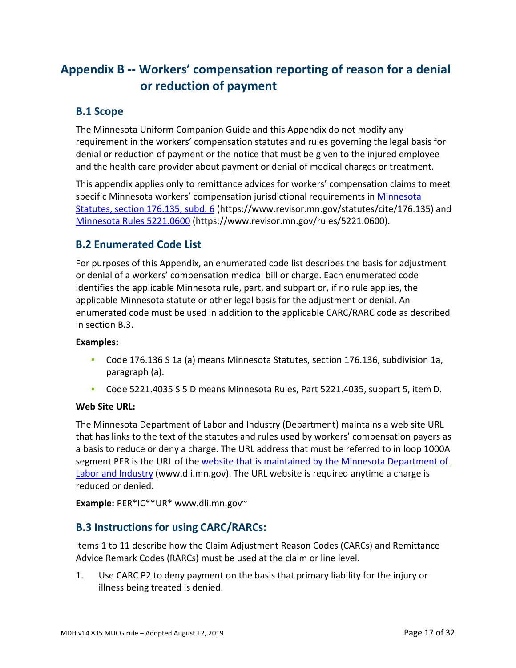# <span id="page-16-0"></span>**Appendix B -- Workers' compensation reporting of reason for a denial or reduction of payment**

### **B.1 Scope**

The Minnesota Uniform Companion Guide and this Appendix do not modify any requirement in the workers' compensation statutes and rules governing the legal basis for denial or reduction of payment or the notice that must be given to the injured employee and the health care provider about payment or denial of medical charges or treatment.

This appendix applies only to remittance advices for workers' compensation claims to meet specific Minnesota workers' compensation jurisdictional requirements i[n Minnesota](https://www.revisor.mn.gov/statutes/cite/176.135)  [Statutes, section 176.135, subd. 6](https://www.revisor.mn.gov/statutes/cite/176.135) (https://www.revisor.mn.gov/statutes/cite/176.135) and [Minnesota Rules 5221.0600](https://www.revisor.mn.gov/rules/5221.0600/) (https://www.revisor.mn.gov/rules/5221.0600).

### **B.2 Enumerated Code List**

For purposes of this Appendix, an enumerated code list describes the basis for adjustment or denial of a workers' compensation medical bill or charge. Each enumerated code identifies the applicable Minnesota rule, part, and subpart or, if no rule applies, the applicable Minnesota statute or other legal basis for the adjustment or denial. An enumerated code must be used in addition to the applicable CARC/RARC code as described in section B.3.

#### **Examples:**

- **▪** Code 176.136 S 1a (a) means Minnesota Statutes, section 176.136, subdivision 1a, paragraph (a).
- **▪** Code 5221.4035 S 5 D means Minnesota Rules, Part 5221.4035, subpart 5, item D.

#### **Web Site URL:**

The Minnesota Department of Labor and Industry (Department) maintains a web site URL that has links to the text of the statutes and rules used by workers' compensation payers as a basis to reduce or deny a charge. The URL address that must be referred to in loop 1000A segment PER is the URL of the website that is maintained by the Minnesota Department of [Labor and Industry](http://www.dli.mn.gov/) (www.dli.mn.gov). The URL website is required anytime a charge is reduced or denied.

**Example:** PER\*IC\*\*UR\* www.dli.mn.gov~

### **B.3 Instructions for using CARC/RARCs:**

Items 1 to 11 describe how the Claim Adjustment Reason Codes (CARCs) and Remittance Advice Remark Codes (RARCs) must be used at the claim or line level.

1. Use CARC P2 to deny payment on the basis that primary liability for the injury or illness being treated is denied.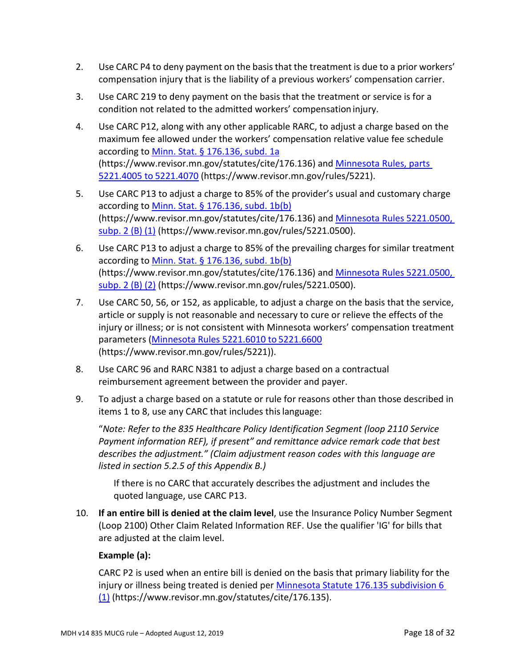- 2. Use CARC P4 to deny payment on the basis that the treatment is due to a prior workers' compensation injury that is the liability of a previous workers' compensation carrier.
- 3. Use CARC 219 to deny payment on the basis that the treatment or service is for a condition not related to the admitted workers' compensation injury.
- 4. Use CARC P12, along with any other applicable RARC, to adjust a charge based on the maximum fee allowed under the workers' compensation relative value fee schedule according to [Minn. Stat. § 176.136, subd. 1a](https://www.revisor.mn.gov/statutes/cite/176.136) (https://www.revisor.mn.gov/statutes/cite/176.136) and [Minnesota Rules, parts](https://www.revisor.mn.gov/rules/5221/)  [5221.4005 to](https://www.revisor.mn.gov/rules/5221/) 5221.4070 (https://www.revisor.mn.gov/rules/5221).
- 5. Use CARC P13 to adjust a charge to 85% of the provider's usual and customary charge according to [Minn. Stat. § 176.136, subd. 1b\(b\)](https://www.revisor.mn.gov/statutes/cite/176.136)  (https://www.revisor.mn.gov/statutes/cite/176.136) and Minnesota [Rules 5221.0500,](https://www.revisor.mn.gov/rules/5221.0500/)  [subp. 2 \(B\)](https://www.revisor.mn.gov/rules/5221.0500/) (1) (https://www.revisor.mn.gov/rules/5221.0500).
- 6. Use CARC P13 to adjust a charge to 85% of the prevailing charges for similar treatment according to [Minn. Stat. § 176.136, subd. 1b\(b\)](https://www.revisor.mn.gov/statutes/cite/176.136) (https://www.revisor.mn.gov/statutes/cite/176.136) and Minnesota [Rules 5221.0500,](https://www.revisor.mn.gov/rules/5221.0500/)  [subp. 2 \(B\)](https://www.revisor.mn.gov/rules/5221.0500/) (2) (https://www.revisor.mn.gov/rules/5221.0500).
- 7. Use CARC 50, 56, or 152, as applicable, to adjust a charge on the basis that the service, article or supply is not reasonable and necessary to cure or relieve the effects of the injury or illness; or is not consistent with Minnesota workers' compensation treatment parameters [\(Minnesota Rules 5221.6010 to](https://www.revisor.mn.gov/rules/5221/) 5221.6600 (https://www.revisor.mn.gov/rules/5221)).
- 8. Use CARC 96 and RARC N381 to adjust a charge based on a contractual reimbursement agreement between the provider and payer.
- 9. To adjust a charge based on a statute or rule for reasons other than those described in items 1 to 8, use any CARC that includes thislanguage:

"*Note: Refer to the 835 Healthcare Policy Identification Segment (loop 2110 Service Payment information REF), if present" and remittance advice remark code that best describes the adjustment." (Claim adjustment reason codes with this language are listed in section 5.2.5 of this Appendix B.)*

If there is no CARC that accurately describes the adjustment and includes the quoted language, use CARC P13.

10. **If an entire bill is denied at the claim level**, use the Insurance Policy Number Segment (Loop 2100) Other Claim Related Information REF. Use the qualifier 'IG' for bills that are adjusted at the claim level.

#### **Example (a):**

CARC P2 is used when an entire bill is denied on the basis that primary liability for the injury or illness being treated is denied per Minnesota Statute [176.135 subdivision 6](https://www.revisor.mn.gov/statutes/cite/176.135)  [\(1\)](https://www.revisor.mn.gov/statutes/cite/176.135) (https://www.revisor.mn.gov/statutes/cite/176.135).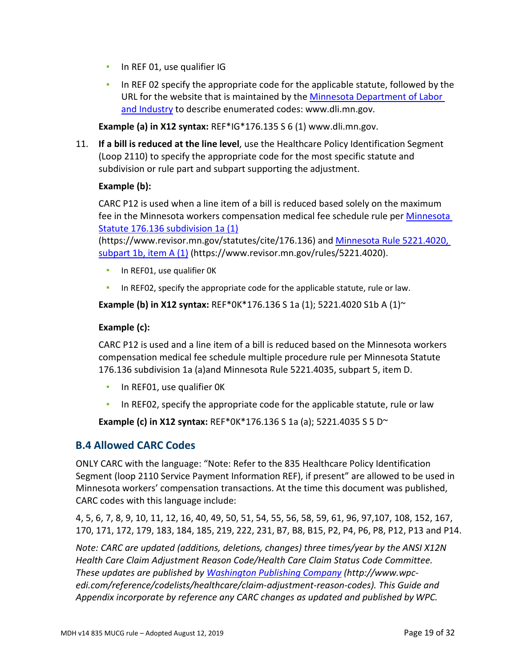- **·** In REF 01, use qualifier IG
- **In REF 02 specify the appropriate code for the applicable statute, followed by the** URL for the website that is maintained by the [Minnesota Department of Labor](http://www.dli.mn.gov/)  [and Industry](http://www.dli.mn.gov/) to describe enumerated codes: www.dli.mn.gov.

**Example (a) in X12 syntax:** REF\*IG\*176.135 S 6 (1) www.dli.mn.gov.

11. **If a bill is reduced at the line level**, use the Healthcare Policy Identification Segment (Loop 2110) to specify the appropriate code for the most specific statute and subdivision or rule part and subpart supporting the adjustment.

#### **Example (b):**

CARC P12 is used when a line item of a bill is reduced based solely on the maximum fee in the Minnesota workers compensation medical fee schedule rule per [Minnesota](https://www.revisor.mn.gov/statutes/cite/176.136)  [Statute 176.136 subdivision 1a \(1\)](https://www.revisor.mn.gov/statutes/cite/176.136)

(https://www.revisor.mn.gov/statutes/cite/176.136) and [Minnesota Rule 5221.4020,](https://www.revisor.mn.gov/rules/5221.4020/)  [subpart 1b, item A \(1\)](https://www.revisor.mn.gov/rules/5221.4020/) (https://www.revisor.mn.gov/rules/5221.4020).

- **·** In REF01, use qualifier OK
- **·** In REF02, specify the appropriate code for the applicable statute, rule or law.

**Example (b) in X12 syntax:** REF\*0K\*176.136 S 1a (1); 5221.4020 S1b A (1)~

#### **Example (c):**

CARC P12 is used and a line item of a bill is reduced based on the Minnesota workers compensation medical fee schedule multiple procedure rule per Minnesota Statute 176.136 subdivision 1a (a)and Minnesota Rule 5221.4035, subpart 5, item D.

- **·** In REF01, use qualifier OK
- In REF02, specify the appropriate code for the applicable statute, rule or law

**Example (c) in X12 syntax:** REF\*0K\*176.136 S 1a (a); 5221.4035 S 5 D~

#### **B.4 Allowed CARC Codes**

ONLY CARC with the language: "Note: Refer to the 835 Healthcare Policy Identification Segment (loop 2110 Service Payment Information REF), if present" are allowed to be used in Minnesota workers' compensation transactions. At the time this document was published, CARC codes with this language include:

4, 5, 6, 7, 8, 9, 10, 11, 12, 16, 40, 49, 50, 51, 54, 55, 56, 58, 59, 61, 96, 97,107, 108, 152, 167, 170, 171, 172, 179, 183, 184, 185, 219, 222, 231, B7, B8, B15, P2, P4, P6, P8, P12, P13 and P14.

*Note: CARC are updated (additions, deletions, changes) three times/year by the ANSI X12N Health Care Claim Adjustment Reason Code/Health Care Claim Status Code Committee. These updates are published by [Washington Publishing Company](http://www.wpc-edi.com/reference/codelists/healthcare/claim-adjustment-reason-codes/) (http://www.wpcedi.com/reference/codelists/healthcare/claim-adjustment-reason-codes). This Guide and Appendix incorporate by reference any CARC changes as updated and published by WPC.*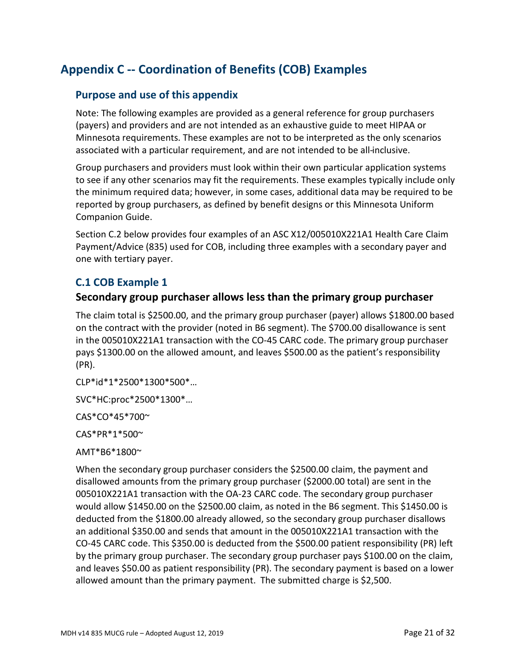# **Appendix C -- Coordination of Benefits (COB) Examples**

### **Purpose and use of this appendix**

Note: The following examples are provided as a general reference for group purchasers (payers) and providers and are not intended as an exhaustive guide to meet HIPAA or Minnesota requirements. These examples are not to be interpreted as the only scenarios associated with a particular requirement, and are not intended to be all-inclusive.

Group purchasers and providers must look within their own particular application systems to see if any other scenarios may fit the requirements. These examples typically include only the minimum required data; however, in some cases, additional data may be required to be reported by group purchasers, as defined by benefit designs or this Minnesota Uniform Companion Guide.

Section C.2 below provides four examples of an ASC X12/005010X221A1 Health Care Claim Payment/Advice (835) used for COB, including three examples with a secondary payer and one with tertiary payer.

### **C.1 COB Example 1**

#### **Secondary group purchaser allows less than the primary group purchaser**

The claim total is \$2500.00, and the primary group purchaser (payer) allows \$1800.00 based on the contract with the provider (noted in B6 segment). The \$700.00 disallowance is sent in the 005010X221A1 transaction with the CO-45 CARC code. The primary group purchaser pays \$1300.00 on the allowed amount, and leaves \$500.00 as the patient's responsibility (PR).

CLP\*id\*1\*2500\*1300\*500\*…

SVC\*HC:proc\*2500\*1300\*…

CAS\*CO\*45\*700~

CAS\*PR\*1\*500~

AMT\*B6\*1800~

When the secondary group purchaser considers the \$2500.00 claim, the payment and disallowed amounts from the primary group purchaser (\$2000.00 total) are sent in the 005010X221A1 transaction with the OA-23 CARC code. The secondary group purchaser would allow \$1450.00 on the \$2500.00 claim, as noted in the B6 segment. This \$1450.00 is deducted from the \$1800.00 already allowed, so the secondary group purchaser disallows an additional \$350.00 and sends that amount in the 005010X221A1 transaction with the CO-45 CARC code. This \$350.00 is deducted from the \$500.00 patient responsibility (PR) left by the primary group purchaser. The secondary group purchaser pays \$100.00 on the claim, and leaves \$50.00 as patient responsibility (PR). The secondary payment is based on a lower allowed amount than the primary payment. The submitted charge is \$2,500.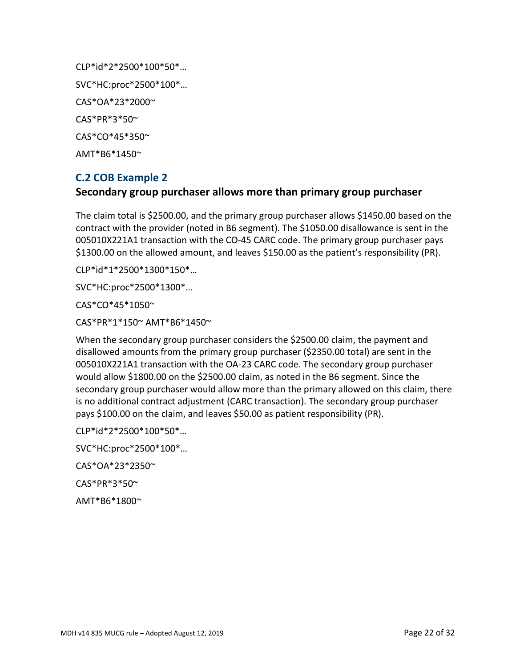CLP\*id\*2\*2500\*100\*50\*… SVC\*HC:proc\*2500\*100\*… CAS\*OA\*23\*2000~ CAS\*PR\*3\*50~ CAS\*CO\*45\*350~ AMT\*B6\*1450~

### **C.2 COB Example 2**

#### **Secondary group purchaser allows more than primary group purchaser**

The claim total is \$2500.00, and the primary group purchaser allows \$1450.00 based on the contract with the provider (noted in B6 segment). The \$1050.00 disallowance is sent in the 005010X221A1 transaction with the CO-45 CARC code. The primary group purchaser pays \$1300.00 on the allowed amount, and leaves \$150.00 as the patient's responsibility (PR).

CLP\*id\*1\*2500\*1300\*150\*…

SVC\*HC:proc\*2500\*1300\*…

CAS\*CO\*45\*1050~

CAS\*PR\*1\*150~ AMT\*B6\*1450~

When the secondary group purchaser considers the \$2500.00 claim, the payment and disallowed amounts from the primary group purchaser (\$2350.00 total) are sent in the 005010X221A1 transaction with the OA-23 CARC code. The secondary group purchaser would allow \$1800.00 on the \$2500.00 claim, as noted in the B6 segment. Since the secondary group purchaser would allow more than the primary allowed on this claim, there is no additional contract adjustment (CARC transaction). The secondary group purchaser pays \$100.00 on the claim, and leaves \$50.00 as patient responsibility (PR).

CLP\*id\*2\*2500\*100\*50\*…

SVC\*HC:proc\*2500\*100\*…

CAS\*OA\*23\*2350~

CAS\*PR\*3\*50~

AMT\*B6\*1800~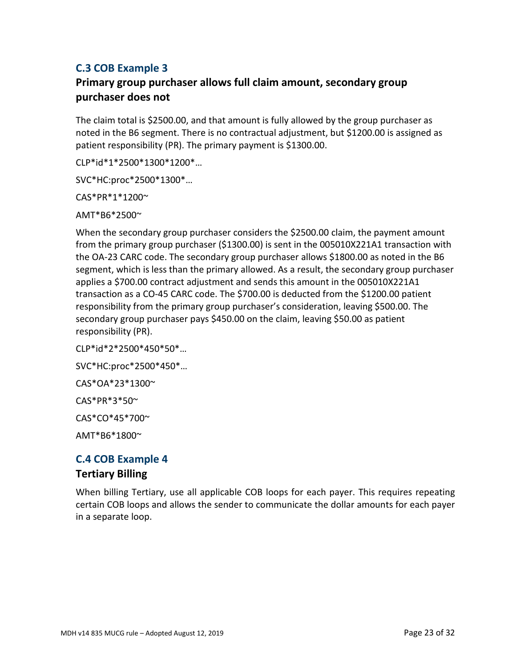# **C.3 COB Example 3**

# **Primary group purchaser allows full claim amount, secondary group purchaser does not**

The claim total is \$2500.00, and that amount is fully allowed by the group purchaser as noted in the B6 segment. There is no contractual adjustment, but \$1200.00 is assigned as patient responsibility (PR). The primary payment is \$1300.00.

CLP\*id\*1\*2500\*1300\*1200\*…

SVC\*HC:proc\*2500\*1300\*…

CAS\*PR\*1\*1200~

AMT\*B6\*2500~

When the secondary group purchaser considers the \$2500.00 claim, the payment amount from the primary group purchaser (\$1300.00) is sent in the 005010X221A1 transaction with the OA-23 CARC code. The secondary group purchaser allows \$1800.00 as noted in the B6 segment, which is less than the primary allowed. As a result, the secondary group purchaser applies a \$700.00 contract adjustment and sends this amount in the 005010X221A1 transaction as a CO-45 CARC code. The \$700.00 is deducted from the \$1200.00 patient responsibility from the primary group purchaser's consideration, leaving \$500.00. The secondary group purchaser pays \$450.00 on the claim, leaving \$50.00 as patient responsibility (PR).

CLP\*id\*2\*2500\*450\*50\*…

SVC\*HC:proc\*2500\*450\*…

CAS\*OA\*23\*1300~

CAS\*PR\*3\*50~

CAS\*CO\*45\*700~

AMT\*B6\*1800~

# **C.4 COB Example 4**

#### **Tertiary Billing**

When billing Tertiary, use all applicable COB loops for each payer. This requires repeating certain COB loops and allows the sender to communicate the dollar amounts for each payer in a separate loop.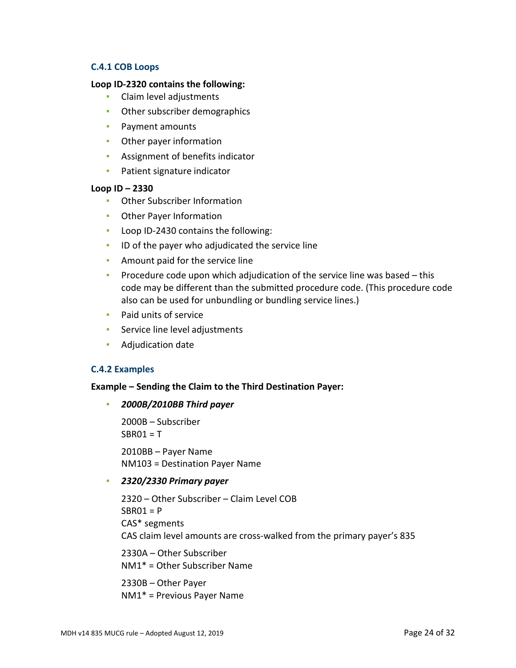#### **C.4.1 COB Loops**

#### **Loop ID-2320 contains the following:**

- Claim level adjustments
- **Other subscriber demographics**
- Payment amounts
- **•** Other payer information
- **EXECUTE:** Assignment of benefits indicator
- **•** Patient signature indicator

#### **Loop ID – 2330**

- Other Subscriber Information
- **Other Payer Information**
- Loop ID-2430 contains the following:
- **ID of the payer who adjudicated the service line**
- **EXEC** Amount paid for the service line
- **•** Procedure code upon which adjudication of the service line was based  $-$  this code may be different than the submitted procedure code. (This procedure code also can be used for unbundling or bundling service lines.)
- **•** Paid units of service
- **EXECUTE:** Service line level adjustments
- Adjudication date

#### **C.4.2 Examples**

#### **Example – Sending the Claim to the Third Destination Payer:**

#### ▪ *2000B/2010BB Third payer*

2000B – Subscriber  $SRRO1 = T$ 

2010BB – Payer Name NM103 = Destination Payer Name

▪ *2320/2330 Primary payer*

2320 – Other Subscriber – Claim Level COB  $SBRO1 = P$ CAS\* segments CAS claim level amounts are cross-walked from the primary payer's 835

2330A – Other Subscriber NM1\* = Other Subscriber Name

2330B – Other Payer NM1\* = Previous Payer Name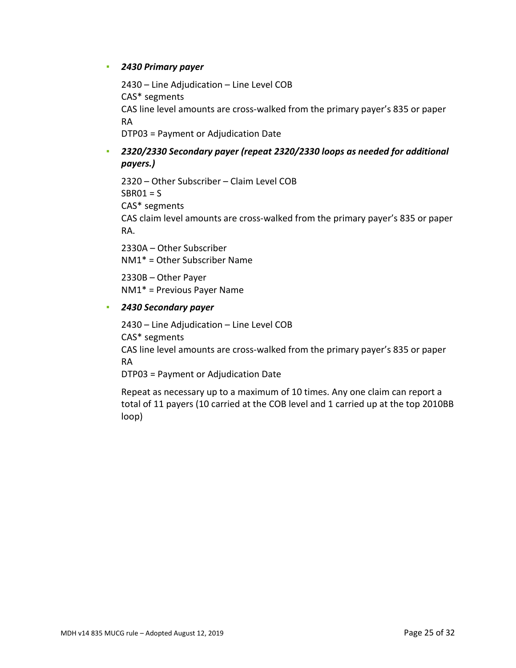#### ▪ *2430 Primary payer*

2430 – Line Adjudication – Line Level COB CAS\* segments CAS line level amounts are cross-walked from the primary payer's 835 or paper RA

DTP03 = Payment or Adjudication Date

### ▪ *2320/2330 Secondary payer (repeat 2320/2330 loops as needed for additional payers.)*

2320 – Other Subscriber – Claim Level COB  $SBRO1 = S$ CAS\* segments CAS claim level amounts are cross-walked from the primary payer's 835 or paper RA.

2330A – Other Subscriber NM1\* = Other Subscriber Name

2330B – Other Payer NM1\* = Previous Payer Name

#### ▪ *2430 Secondary payer*

2430 – Line Adjudication – Line Level COB CAS\* segments

CAS line level amounts are cross-walked from the primary payer's 835 or paper RA

DTP03 = Payment or Adjudication Date

Repeat as necessary up to a maximum of 10 times. Any one claim can report a total of 11 payers (10 carried at the COB level and 1 carried up at the top 2010BB loop)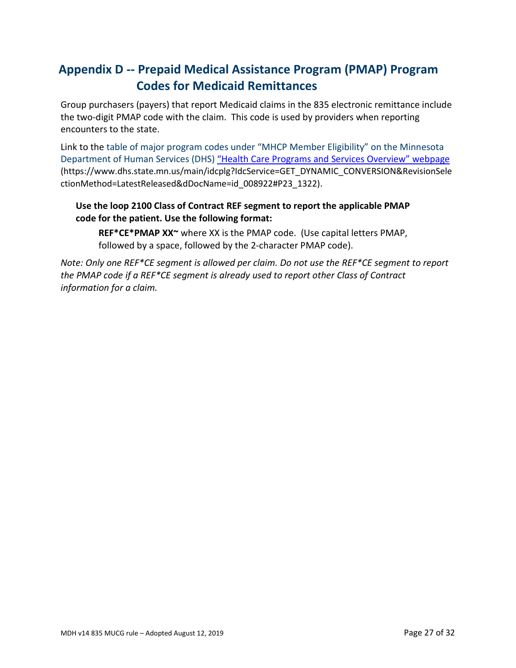# <span id="page-26-0"></span>**Appendix D -- Prepaid Medical Assistance Program (PMAP) Program Codes for Medicaid Remittances**

Group purchasers (payers) that report Medicaid claims in the 835 electronic remittance include the two-digit PMAP code with the claim. This code is used by providers when reporting encounters to the state.

Link to the table of major program codes under "MHCP Member Eligibility" on the Minnesota Department of Human Services (DHS) "Health Care Programs and Services Overview" webpage (https://www.dhs.state.mn.us/main/idcplg?IdcService=GET\_DYNAMIC\_CONVERSION&RevisionSele ctionMethod=LatestReleased&dDocName=id\_008922#P23\_1322).

#### **Use the loop 2100 Class of Contract REF segment to report the applicable PMAP code for the patient. Use the following format:**

**REF\*CE\*PMAP XX~** where XX is the PMAP code. (Use capital letters PMAP, followed by a space, followed by the 2-character PMAP code).

*Note: Only one REF\*CE segment is allowed per claim. Do not use the REF\*CE segment to report the PMAP code if a REF\*CE segment is already used to report other Class of Contract information for a claim.*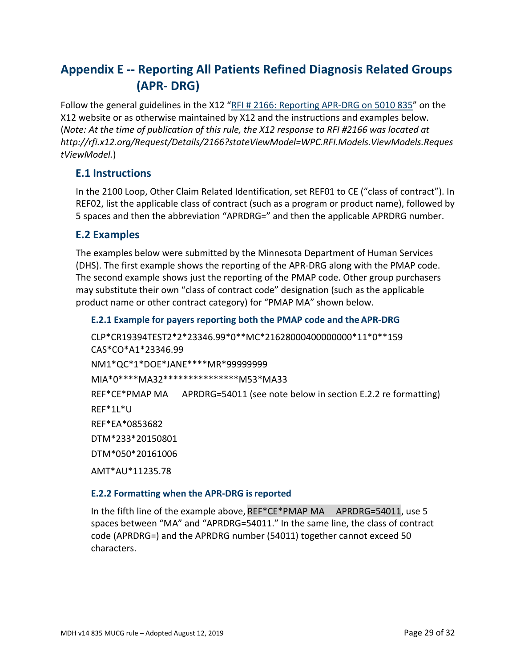# <span id="page-28-0"></span>**Appendix E -- Reporting All Patients Refined Diagnosis Related Groups (APR- DRG)**

Follow the general guidelines in the X12 ["RFI # 2166: Reporting APR-DRG on 5010 835"](http://rfi.x12.org/Request/Details/2166?stateViewModel=WPC.RFI.Models.ViewModels.RequestViewModel) on the X12 website or as otherwise maintained by X12 and the instructions and examples below. (*Note: At the time of publication of this rule, the X12 response to RFI #2166 was located at http://rfi.x12.org/Request/Details/2166?stateViewModel=WPC.RFI.Models.ViewModels.Reques tViewModel.*)

### **E.1 Instructions**

In the 2100 Loop, Other Claim Related Identification, set REF01 to CE ("class of contract"). In REF02, list the applicable class of contract (such as a program or product name), followed by 5 spaces and then the abbreviation "APRDRG=" and then the applicable APRDRG number.

### **E.2 Examples**

The examples below were submitted by the Minnesota Department of Human Services (DHS). The first example shows the reporting of the APR-DRG along with the PMAP code. The second example shows just the reporting of the PMAP code. Other group purchasers may substitute their own "class of contract code" designation (such as the applicable product name or other contract category) for "PMAP MA" shown below.

#### **E.2.1 Example for payers reporting both the PMAP code and the APR-DRG**

CLP\*CR19394TEST2\*2\*23346.99\*0\*\*MC\*21628000400000000\*11\*0\*\*159 CAS\*CO\*A1\*23346.99 NM1\*QC\*1\*DOE\*JANE\*\*\*\*MR\*99999999 MIA\*0\*\*\*\*MA32\*\*\*\*\*\*\*\*\*\*\*\*\*\*\*M53\*MA33 REF\*CE\*PMAP MA APRDRG=54011 (see note below in section E.2.2 re formatting) REF\*1L\*U REF\*EA\*0853682 DTM\*233\*20150801 DTM\*050\*20161006 AMT\*AU\*11235.78

#### **E.2.2 Formatting when the APR-DRG isreported**

In the fifth line of the example above, REF\*CE\*PMAP MA APRDRG=54011, use 5 spaces between "MA" and "APRDRG=54011." In the same line, the class of contract code (APRDRG=) and the APRDRG number (54011) together cannot exceed 50 characters.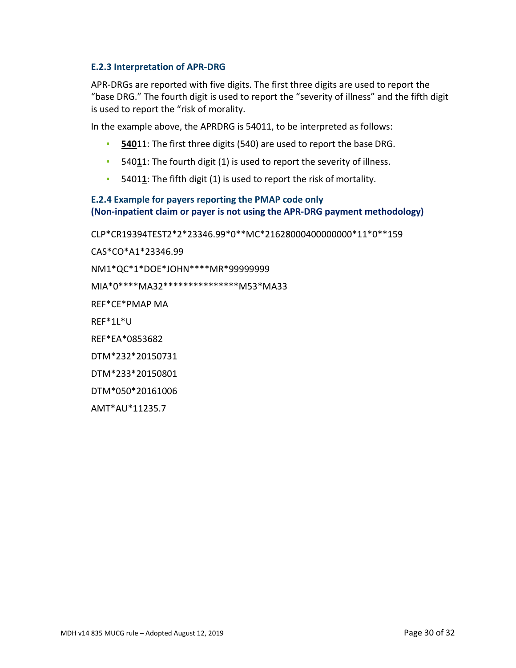#### **E.2.3 Interpretation of APR-DRG**

APR-DRGs are reported with five digits. The first three digits are used to report the "base DRG." The fourth digit is used to report the "severity of illness" and the fifth digit is used to report the "risk of morality.

In the example above, the APRDRG is 54011, to be interpreted as follows:

- **▪ 540**11: The first three digits (540) are used to report the base DRG.
- **▪** 540**1**1: The fourth digit (1) is used to report the severity of illness.
- **▪** 5401**1**: The fifth digit (1) is used to report the risk of mortality.

#### **E.2.4 Example for payers reporting the PMAP code only (Non-inpatient claim or payer is not using the APR-DRG payment methodology)**

CLP\*CR19394TEST2\*2\*23346.99\*0\*\*MC\*21628000400000000\*11\*0\*\*159

CAS\*CO\*A1\*23346.99

NM1\*QC\*1\*DOE\*JOHN\*\*\*\*MR\*99999999

MIA\*0\*\*\*\*MA32\*\*\*\*\*\*\*\*\*\*\*\*\*\*\*M53\*MA33

REF\*CE\*PMAP MA

REF\*1L\*U

REF\*EA\*0853682

DTM\*232\*20150731

DTM\*233\*20150801

DTM\*050\*20161006

AMT\*AU\*11235.7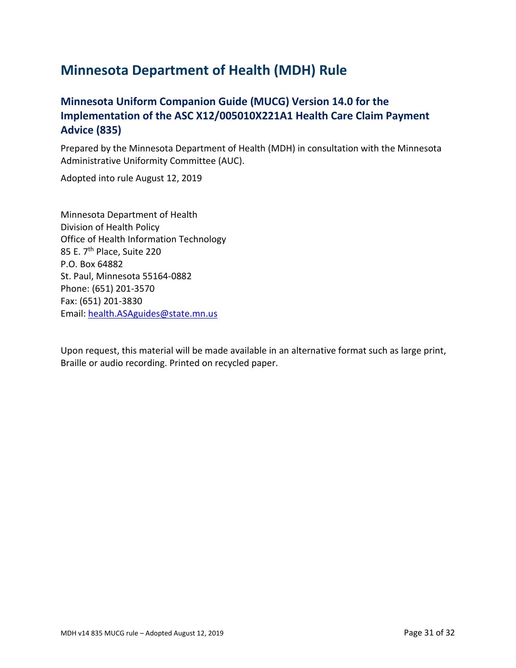# **Minnesota Department of Health (MDH) Rule**

# **Minnesota Uniform Companion Guide (MUCG) Version 14.0 for the Implementation of the ASC X12/005010X221A1 Health Care Claim Payment Advice (835)**

Prepared by the Minnesota Department of Health (MDH) in consultation with the Minnesota Administrative Uniformity Committee (AUC).

Adopted into rule August 12, 2019

Minnesota Department of Health Division of Health Policy Office of Health Information Technology 85 E. 7<sup>th</sup> Place, Suite 220 P.O. Box 64882 St. Paul, Minnesota 55164-0882 Phone: (651) 201-3570 Fax: (651) 201-3830 Email: [health.ASAguides@state.mn.us](mailto:health.ASAguides@state.mn.us)

Upon request, this material will be made available in an alternative format such as large print, Braille or audio recording. Printed on recycled paper.